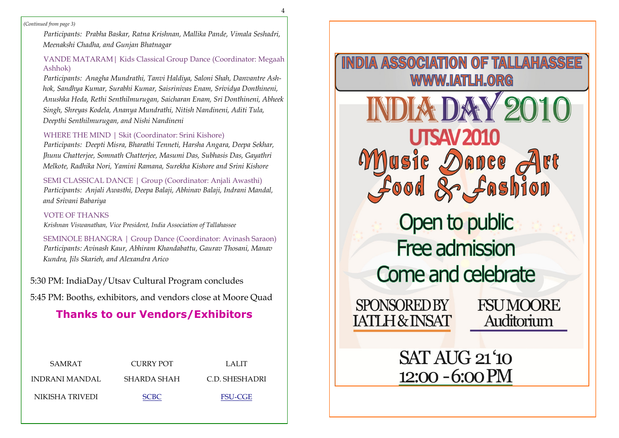4

*(Continued from page 3)*

*Participants: Prabha Baskar, Ratna Krishnan, Mallika Pande, Vimala Seshadri, Meenakshi Chadha, and Gunjan Bhatnagar*

# VANDE MATARAM| Kids Classical Group Dance (Coordinator: Megaah Ashhok)

*Participants: Anagha Mundrathi, Tanvi Haldiya, Saloni Shah, Danvantre Ashhok, Sandhya Kumar, Surabhi Kumar, Saisrinivas Enam, Srividya Donthineni, Anushka Heda, Rethi Senthilmurugan, Saicharan Enam, Sri Donthineni, Abheek Singh, Shreyas Kodela, Ananya Mundrathi, Nitish Nandineni, Aditi Tula, Deepthi Senthilmurugan, and Nishi Nandineni*

# WHERE THE MIND | Skit (Coordinator: Srini Kishore)

*Participants: Deepti Misra, Bharathi Tenneti, Harsha Angara, Deepa Sekhar, Jhunu Chatterjee, Somnath Chatterjee, Masumi Das, Subhasis Das, Gayathri Melkote, Radhika Nori, Yamini Ramana, Surekha Kishore and Srini Kishore*

SEMI CLASSICAL DANCE | Group (Coordinator: Anjali Awasthi) *Participants: Anjali Awasthi, Deepa Balaji, Abhinav Balaji, Indrani Mandal, and Srivani Babariya*

### VOTE OF THANKS

*Krishnan Viswanathan, Vice President, India Association of Tallahassee*

SEMINOLE BHANGRA | Group Dance (Coordinator: Avinash Saraon) *Participants: Avinash Kaur, Abhiram Khandabattu, Gaurav Thosani, Manav Kundra, Jils Skarieh, and Alexandra Arico*

5:30 PM: IndiaDay/Utsav Cultural Program concludes

5:45 PM: Booths, exhibitors, and vendors close at Moore Quad

# **Thanks to our Vendors/Exhibitors**

| SAMRAT          | CURRY POT   | LALIT          |
|-----------------|-------------|----------------|
| INDRANI MANDAL  | SHARDA SHAH | C.D. SHESHADRI |
| NIKISHA TRIVEDI | <b>SCBC</b> | <b>FSU-CGE</b> |